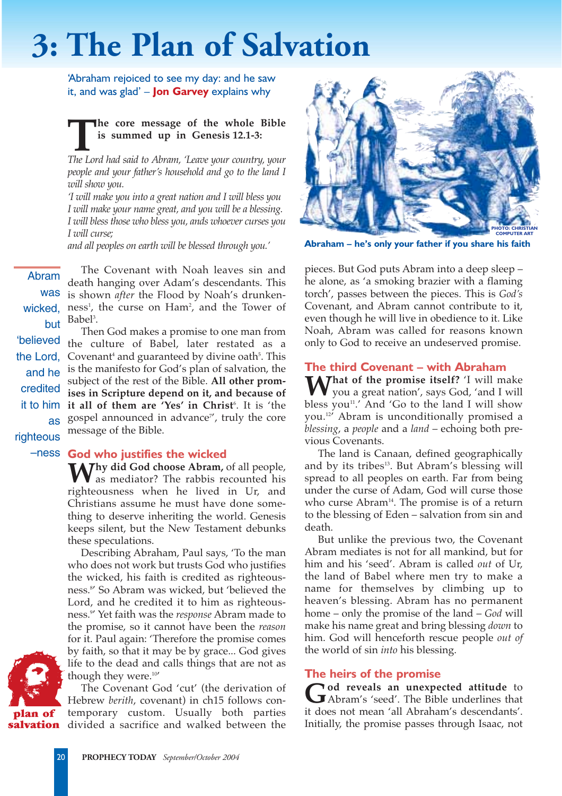# **3: The Plan of Salvation**

'Abraham rejoiced to see my day: and he saw it, and was glad' – **Jon Garvey** explains why

## **The core message of the whole Bible**<br> **ISON is summed up in Genesis 12.1-3:**<br> *The Lord had said to Abram, 'Leave your country, your* **is summed up in Genesis 12.1-3:**

*people and your father's household and go to the land I will show you.*

*'I will make you into a great nation and I will bless you I will make your name great, and you will be a blessing. I will bless those who bless you, ands whoever curses you I will curse;*

*and all peoples on earth will be blessed through you.'*

Abram The Covenant with Noah leaves sin and death hanging over Adam's descendants. This is shown *after* the Flood by Noah's drunkenness<sup>1</sup>, the curse on Ham<sup>2</sup>, and the Tower of Babel<sup>3</sup>.

the Lord, Covenant<sup>4</sup> and guaranteed by divine oath<sup>5</sup>. This Then God makes a promise to one man from the culture of Babel, later restated as a is the manifesto for God's plan of salvation, the subject of the rest of the Bible. **All other promises in Scripture depend on it, and because of it all of them are 'Yes' in Christ**<sup>6</sup> . It is 'the gospel announced in advance", truly the core message of the Bible.

was wicked, but 'believed and he credited it to him as righteous

### –ness **God who justifies the wicked**

**Thy did God choose Abram,** of all people, s as mediator? The rabbis recounted his righteousness when he lived in Ur, and Christians assume he must have done something to deserve inheriting the world. Genesis keeps silent, but the New Testament debunks these speculations.

Describing Abraham, Paul says, 'To the man who does not work but trusts God who justifies the wicked, his faith is credited as righteousness.8 ' So Abram was wicked, but 'believed the Lord, and he credited it to him as righteousness.9 ' Yet faith was the *response* Abram made to the promise, so it cannot have been the *reason* for it. Paul again: 'Therefore the promise comes by faith, so that it may be by grace... God gives life to the dead and calls things that are not as though they were.<sup>10'</sup>

**salvation** divided a sacrifice and walked between the The Covenant God 'cut' (the derivation of Hebrew *berith*, covenant) in ch15 follows contemporary custom. Usually both parties



**Abraham – he's only your father if you share his faith**

pieces. But God puts Abram into a deep sleep – he alone, as 'a smoking brazier with a flaming torch', passes between the pieces. This is *God's* Covenant, and Abram cannot contribute to it, even though he will live in obedience to it. Like Noah, Abram was called for reasons known only to God to receive an undeserved promise.

#### **The third Covenant – with Abraham**

**M/hat of the promise itself?** 'I will make you a great nation', says God, 'and I will bless you<sup>11</sup>.' And 'Go to the land I will show you.12' Abram is unconditionally promised a *blessing*, a *people* and a *land* – echoing both previous Covenants.

The land is Canaan, defined geographically and by its tribes<sup>13</sup>. But Abram's blessing will spread to all peoples on earth. Far from being under the curse of Adam, God will curse those who curse  $Abram<sup>14</sup>$ . The promise is of a return to the blessing of Eden – salvation from sin and death.

But unlike the previous two, the Covenant Abram mediates is not for all mankind, but for him and his 'seed'. Abram is called *out* of Ur, the land of Babel where men try to make a name for themselves by climbing up to heaven's blessing. Abram has no permanent home – only the promise of the land – *God* will make his name great and bring blessing *down* to him. God will henceforth rescue people *out of* the world of sin *into* his blessing.

#### **The heirs of the promise**

God reveals an unexpected attitude to<br>Abram's 'seed'. The Bible underlines that it does not mean 'all Abraham's descendants'. Initially, the promise passes through Isaac, not